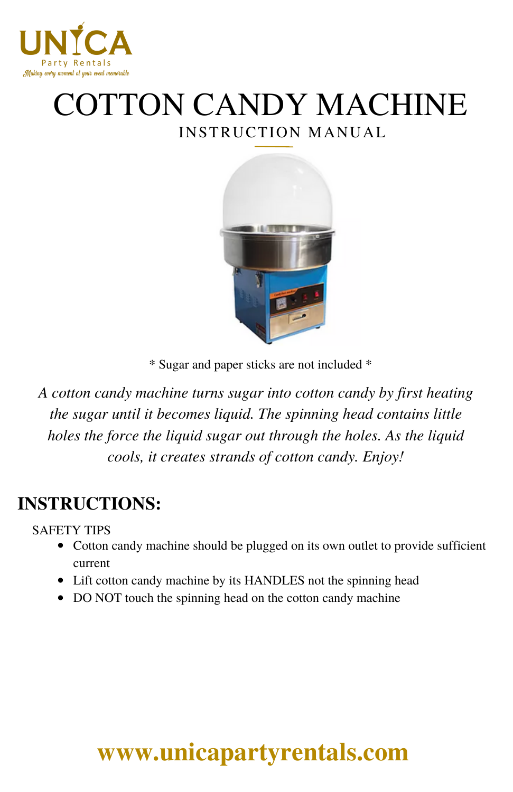

# INSTRUCTION MANUAL COTTON CANDY MACHINE



\* Sugar and paper sticks are not included \*

*A cotton candy machine turns sugar into cotton candy by first heating the sugar until it becomes liquid. The spinning head contains little holes the force the liquid sugar out through the holes. As the liquid cools, it creates strands of cotton candy. Enjoy!*

### **INSTRUCTIONS:**

SAFETY TIPS

- Cotton candy machine should be plugged on its own outlet to provide sufficient current
- Lift cotton candy machine by its HANDLES not the spinning head
- DO NOT touch the spinning head on the cotton candy machine

# **[www.unicapartyrentals.com](https://www.unicapartyrentals.com/contact)**